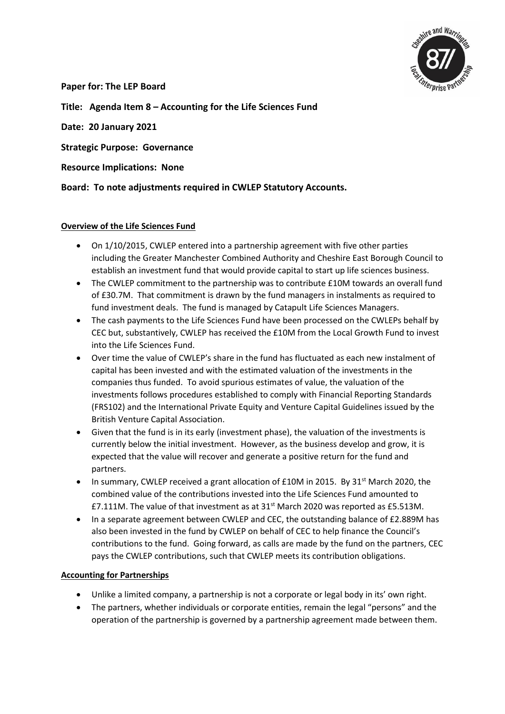

**Paper for: The LEP Board**

**Title: Agenda Item 8 – Accounting for the Life Sciences Fund**

**Date: 20 January 2021**

**Strategic Purpose: Governance**

**Resource Implications: None**

**Board: To note adjustments required in CWLEP Statutory Accounts.** 

#### **Overview of the Life Sciences Fund**

- On 1/10/2015, CWLEP entered into a partnership agreement with five other parties including the Greater Manchester Combined Authority and Cheshire East Borough Council to establish an investment fund that would provide capital to start up life sciences business.
- The CWLEP commitment to the partnership was to contribute £10M towards an overall fund of £30.7M. That commitment is drawn by the fund managers in instalments as required to fund investment deals. The fund is managed by Catapult Life Sciences Managers.
- The cash payments to the Life Sciences Fund have been processed on the CWLEPs behalf by CEC but, substantively, CWLEP has received the £10M from the Local Growth Fund to invest into the Life Sciences Fund.
- Over time the value of CWLEP's share in the fund has fluctuated as each new instalment of capital has been invested and with the estimated valuation of the investments in the companies thus funded. To avoid spurious estimates of value, the valuation of the investments follows procedures established to comply with Financial Reporting Standards (FRS102) and the International Private Equity and Venture Capital Guidelines issued by the British Venture Capital Association.
- Given that the fund is in its early (investment phase), the valuation of the investments is currently below the initial investment. However, as the business develop and grow, it is expected that the value will recover and generate a positive return for the fund and partners.
- In summary, CWLEP received a grant allocation of  $£10M$  in 2015. By 31<sup>st</sup> March 2020, the combined value of the contributions invested into the Life Sciences Fund amounted to £7.111M. The value of that investment as at  $31<sup>st</sup>$  March 2020 was reported as £5.513M.
- In a separate agreement between CWLEP and CEC, the outstanding balance of £2.889M has also been invested in the fund by CWLEP on behalf of CEC to help finance the Council's contributions to the fund. Going forward, as calls are made by the fund on the partners, CEC pays the CWLEP contributions, such that CWLEP meets its contribution obligations.

#### **Accounting for Partnerships**

- Unlike a limited company, a partnership is not a corporate or legal body in its' own right.
- The partners, whether individuals or corporate entities, remain the legal "persons" and the operation of the partnership is governed by a partnership agreement made between them.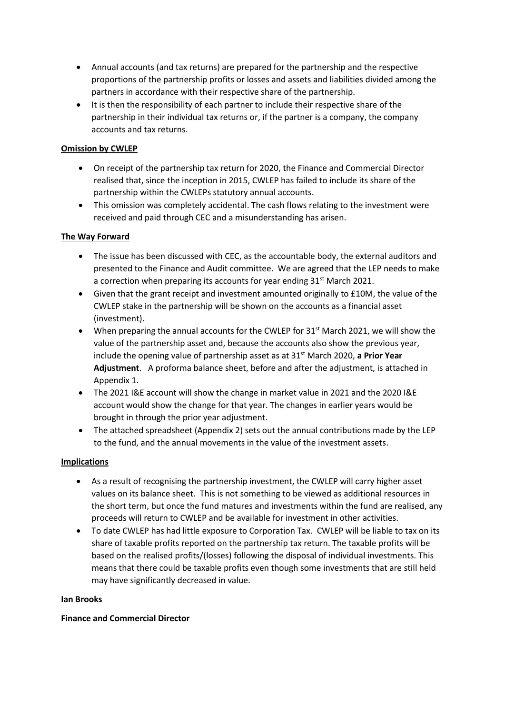- Annual accounts (and tax returns) are prepared for the partnership and the respective proportions of the partnership profits or losses and assets and liabilities divided among the partners in accordance with their respective share of the partnership.
- It is then the responsibility of each partner to include their respective share of the partnership in their individual tax returns or, if the partner is a company, the company accounts and tax returns.

#### **Omission by CWLEP**

- On receipt of the partnership tax return for 2020, the Finance and Commercial Director realised that, since the inception in 2015, CWLEP has failed to include its share of the partnership within the CWLEPs statutory annual accounts.
- This omission was completely accidental. The cash flows relating to the investment were received and paid through CEC and a misunderstanding has arisen.

### **The Way Forward**

- The issue has been discussed with CEC, as the accountable body, the external auditors and presented to the Finance and Audit committee. We are agreed that the LEP needs to make a correction when preparing its accounts for year ending 31<sup>st</sup> March 2021.
- Given that the grant receipt and investment amounted originally to £10M, the value of the CWLEP stake in the partnership will be shown on the accounts as a financial asset (investment).
- When preparing the annual accounts for the CWLEP for  $31<sup>st</sup>$  March 2021, we will show the value of the partnership asset and, because the accounts also show the previous year, include the opening value of partnership asset as at 31st March 2020, **a Prior Year Adjustment**. A proforma balance sheet, before and after the adjustment, is attached in Appendix 1.
- The 2021 I&E account will show the change in market value in 2021 and the 2020 I&E account would show the change for that year. The changes in earlier years would be brought in through the prior year adjustment.
- The attached spreadsheet (Appendix 2) sets out the annual contributions made by the LEP to the fund, and the annual movements in the value of the investment assets.

#### **Implications**

- As a result of recognising the partnership investment, the CWLEP will carry higher asset values on its balance sheet. This is not something to be viewed as additional resources in the short term, but once the fund matures and investments within the fund are realised, any proceeds will return to CWLEP and be available for investment in other activities.
- To date CWLEP has had little exposure to Corporation Tax. CWLEP will be liable to tax on its share of taxable profits reported on the partnership tax return. The taxable profits will be based on the realised profits/(losses) following the disposal of individual investments. This means that there could be taxable profits even though some investments that are still held may have significantly decreased in value.

#### **Ian Brooks**

#### **Finance and Commercial Director**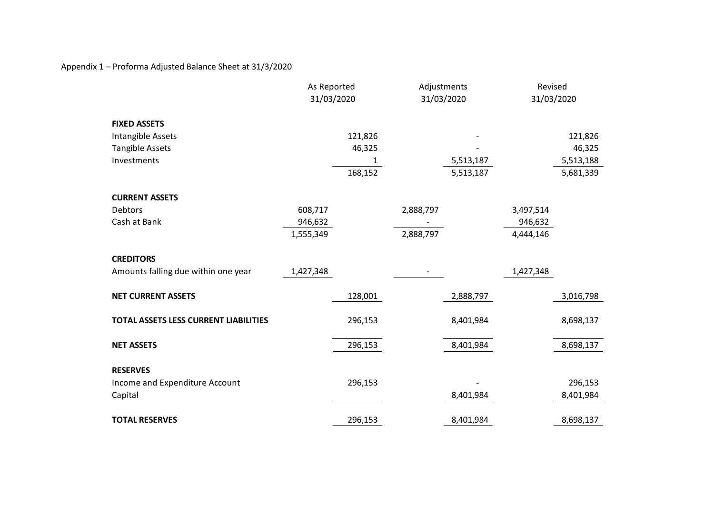Appendix 1 – Proforma Adjusted Balance Sheet at 31/3/2020

|                                       | As Reported<br>31/03/2020 |         | Adjustments<br>31/03/2020 |           | Revised<br>31/03/2020 |           |
|---------------------------------------|---------------------------|---------|---------------------------|-----------|-----------------------|-----------|
| <b>FIXED ASSETS</b>                   |                           |         |                           |           |                       |           |
| Intangible Assets                     |                           | 121,826 |                           |           |                       | 121,826   |
| <b>Tangible Assets</b>                |                           | 46,325  |                           |           |                       | 46,325    |
| Investments                           |                           | 1       |                           | 5,513,187 |                       | 5,513,188 |
|                                       |                           | 168,152 |                           | 5,513,187 |                       | 5,681,339 |
| <b>CURRENT ASSETS</b>                 |                           |         |                           |           |                       |           |
| Debtors                               | 608,717                   |         | 2,888,797                 |           | 3,497,514             |           |
| Cash at Bank                          | 946,632                   |         |                           |           | 946,632               |           |
|                                       | 1,555,349                 |         | 2,888,797                 |           | 4,444,146             |           |
| <b>CREDITORS</b>                      |                           |         |                           |           |                       |           |
| Amounts falling due within one year   | 1,427,348                 |         | $\overline{\phantom{a}}$  |           | 1,427,348             |           |
| <b>NET CURRENT ASSETS</b>             |                           | 128,001 |                           | 2,888,797 |                       | 3,016,798 |
| TOTAL ASSETS LESS CURRENT LIABILITIES |                           | 296,153 |                           | 8,401,984 |                       | 8,698,137 |
| <b>NET ASSETS</b>                     |                           | 296,153 |                           | 8,401,984 |                       | 8,698,137 |
| <b>RESERVES</b>                       |                           |         |                           |           |                       |           |
| Income and Expenditure Account        |                           | 296,153 |                           |           |                       | 296,153   |
| Capital                               |                           |         |                           | 8,401,984 |                       | 8,401,984 |
|                                       |                           |         |                           |           |                       |           |
| <b>TOTAL RESERVES</b>                 |                           | 296,153 |                           | 8,401,984 |                       | 8,698,137 |